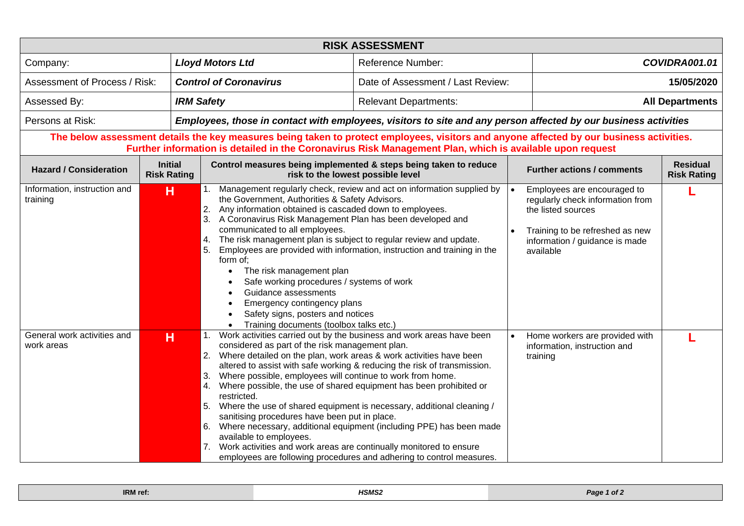| <b>RISK ASSESSMENT</b>                                                                                                                                                                                                                               |                                      |                                                                                                                                                                                                                                                                                                                                                                                                                                                                                                                                                                                                                                                                                                               |                                                                                                                                                  |               |                                                                                                                                                                         |  |  |  |  |  |  |
|------------------------------------------------------------------------------------------------------------------------------------------------------------------------------------------------------------------------------------------------------|--------------------------------------|---------------------------------------------------------------------------------------------------------------------------------------------------------------------------------------------------------------------------------------------------------------------------------------------------------------------------------------------------------------------------------------------------------------------------------------------------------------------------------------------------------------------------------------------------------------------------------------------------------------------------------------------------------------------------------------------------------------|--------------------------------------------------------------------------------------------------------------------------------------------------|---------------|-------------------------------------------------------------------------------------------------------------------------------------------------------------------------|--|--|--|--|--|--|
| <b>Lloyd Motors Ltd</b><br>Company:                                                                                                                                                                                                                  |                                      | <b>Reference Number:</b>                                                                                                                                                                                                                                                                                                                                                                                                                                                                                                                                                                                                                                                                                      |                                                                                                                                                  | COVIDRA001.01 |                                                                                                                                                                         |  |  |  |  |  |  |
| Assessment of Process / Risk:<br><b>Control of Coronavirus</b>                                                                                                                                                                                       |                                      | Date of Assessment / Last Review:                                                                                                                                                                                                                                                                                                                                                                                                                                                                                                                                                                                                                                                                             |                                                                                                                                                  | 15/05/2020    |                                                                                                                                                                         |  |  |  |  |  |  |
| Assessed By:<br><b>IRM Safety</b>                                                                                                                                                                                                                    |                                      |                                                                                                                                                                                                                                                                                                                                                                                                                                                                                                                                                                                                                                                                                                               | <b>Relevant Departments:</b>                                                                                                                     |               | <b>All Departments</b>                                                                                                                                                  |  |  |  |  |  |  |
| Persons at Risk:<br>Employees, those in contact with employees, visitors to site and any person affected by our business activities                                                                                                                  |                                      |                                                                                                                                                                                                                                                                                                                                                                                                                                                                                                                                                                                                                                                                                                               |                                                                                                                                                  |               |                                                                                                                                                                         |  |  |  |  |  |  |
| The below assessment details the key measures being taken to protect employees, visitors and anyone affected by our business activities.<br>Further information is detailed in the Coronavirus Risk Management Plan, which is available upon request |                                      |                                                                                                                                                                                                                                                                                                                                                                                                                                                                                                                                                                                                                                                                                                               |                                                                                                                                                  |               |                                                                                                                                                                         |  |  |  |  |  |  |
| <b>Hazard / Consideration</b>                                                                                                                                                                                                                        | <b>Initial</b><br><b>Risk Rating</b> | Control measures being implemented & steps being taken to reduce<br>risk to the lowest possible level                                                                                                                                                                                                                                                                                                                                                                                                                                                                                                                                                                                                         |                                                                                                                                                  |               | <b>Residual</b><br><b>Further actions / comments</b><br><b>Risk Rating</b>                                                                                              |  |  |  |  |  |  |
| Information, instruction and<br>training                                                                                                                                                                                                             | н                                    | Management regularly check, review and act on information supplied by<br>1.<br>the Government, Authorities & Safety Advisors.<br>2. Any information obtained is cascaded down to employees.<br>3. A Coronavirus Risk Management Plan has been developed and<br>communicated to all employees.<br>4. The risk management plan is subject to regular review and update.<br>Employees are provided with information, instruction and training in the<br>5.<br>form of;<br>The risk management plan<br>Safe working procedures / systems of work<br>Guidance assessments<br>Emergency contingency plans<br>$\bullet$<br>Safety signs, posters and notices<br>Training documents (toolbox talks etc.)<br>$\bullet$ |                                                                                                                                                  |               | Employees are encouraged to<br>regularly check information from<br>the listed sources<br>Training to be refreshed as new<br>information / guidance is made<br>available |  |  |  |  |  |  |
| General work activities and<br>work areas                                                                                                                                                                                                            | н                                    | 1. Work activities carried out by the business and work areas have been<br>considered as part of the risk management plan.<br>2. Where detailed on the plan, work areas & work activities have been<br>3. Where possible, employees will continue to work from home.<br>4. Where possible, the use of shared equipment has been prohibited or<br>restricted.<br>5. Where the use of shared equipment is necessary, additional cleaning /<br>sanitising procedures have been put in place.<br>6. Where necessary, additional equipment (including PPE) has been made<br>available to employees.<br>7. Work activities and work areas are continually monitored to ensure                                       | altered to assist with safe working & reducing the risk of transmission.<br>employees are following procedures and adhering to control measures. |               | Home workers are provided with<br>information, instruction and<br>training                                                                                              |  |  |  |  |  |  |